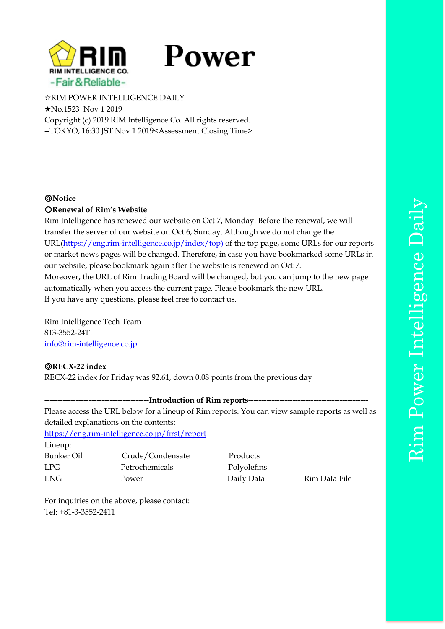

# Power

☆RIM POWER INTELLIGENCE DAILY ★No.1523 Nov 1 2019 Copyright (c) 2019 RIM Intelligence Co. All rights reserved. --TOKYO, 16:30 JST Nov 1 2019<Assessment Closing Time>

# ◎**Notice**

# 〇**Renewal of Rim's Website**

Rim Intelligence has renewed our website on Oct 7, Monday. Before the renewal, we will transfer the server of our website on Oct 6, Sunday. Although we do not change the URL[\(https://eng.rim-intelligence.co.jp/index/top\)](https://eng.rim-intelligence.co.jp/index/top)%20of) of the top page, some URLs for our reports or market news pages will be changed. Therefore, in case you have bookmarked some URLs in our website, please bookmark again after the website is renewed on Oct 7. Moreover, the URL of Rim Trading Board will be changed, but you can jump to the new page automatically when you access the current page. Please bookmark the new URL. If you have any questions, please feel free to contact us.

Rim Intelligence Tech Team 813-3552-2411 [info@rim-intelligence.co.jp](mailto:info@rim-intelligence.co.jp)

# ◎**RECX-22 index**

RECX-22 index for Friday was 92.61, down 0.08 points from the previous day

---Introduction of Rim reports----

Please access the URL below for a lineup of Rim reports. You can view sample reports as well as detailed explanations on the contents:

<https://eng.rim-intelligence.co.jp/first/report>

Lineup: Bunker Oil Crude/Condensate Products LPG Petrochemicals Polyolefins LNG Power Daily Data Rim Data File

For inquiries on the above, please contact: Tel: +81-3-3552-2411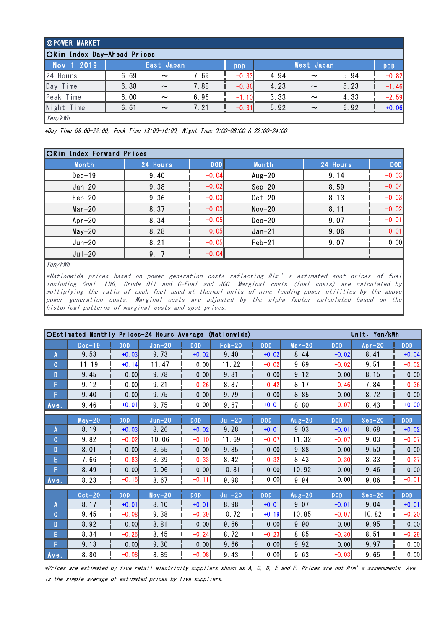| OPOWER MARKET               |      |                       |      |            |      |                       |      |            |  |  |  |
|-----------------------------|------|-----------------------|------|------------|------|-----------------------|------|------------|--|--|--|
| ORim Index Day-Ahead Prices |      |                       |      |            |      |                       |      |            |  |  |  |
| Nov 1 2019                  |      | East Japan            |      | <b>DOD</b> |      | <b>West Japan</b>     |      | <b>DOD</b> |  |  |  |
| 24 Hours                    | 6.69 | $\tilde{\phantom{a}}$ | 7.69 | $-0.33$    | 4.94 | $\tilde{\phantom{a}}$ | 5.94 | $-0.82$    |  |  |  |
| Day<br>Time                 | 6.88 | $\sim$                | 7.88 | $-0.36$    | 4.23 | $\sim$                | 5.23 | $-1.46$    |  |  |  |
| Peak Time                   | 6.00 | $\sim$                | 6.96 | $-1.10$    | 3.33 | $\sim$                | 4.33 | $-2.59$    |  |  |  |
| Night Time                  | 6.61 | $\sim$                | 7.21 | $-0.31$    | 5.92 | $\sim$                | 6.92 | $+0.06$    |  |  |  |
| $V_{\alpha n}/l$ Wh         |      |                       |      |            |      |                       |      |            |  |  |  |

Yen/kWh

\*Day Time 08:00-22:00, Peak Time 13:00-16:00, Night Time 0:00-08:00 & 22:00-24:00

| Month      | 24 Hours | <b>DOD</b> | <b>Month</b> | 24 Hours | <b>DOD</b> |
|------------|----------|------------|--------------|----------|------------|
| $Dec-19$   | 9.40     | $-0.04$    | Aug $-20$    | 9.14     | $-0.03$    |
| $Jan-20$   | 9.38     | $-0.02$    | $Sep-20$     | 8.59     | $-0.04$    |
| $Feb-20$   | 9.36     | $-0.03$    | $0$ ct $-20$ | 8.13     | $-0.03$    |
| $Mar-20$   | 8.37     | $-0.03$    | $Nov-20$     | 8.11     | $-0.02$    |
| $Apr-20$   | 8.34     | $-0.05$    | $Dec-20$     | 9.07     | $-0.01$    |
| $May-20$   | 8.28     | $-0.05$    | $Jan-21$     | 9.06     | $-0.01$    |
| $Jun-20$   | 8.21     | $-0.05$    | $Feb-21$     | 9.07     | 0.00       |
| $Ju$ $-20$ | 9.17     | $-0.04$    |              |          |            |
| Yen/kWh    |          |            |              |          |            |

Yen/kWh

 $\frac{1}{\text{Ven}/kWh}$ <br>  $\frac{1}{\text{Ven}/kWh}$ <br>  $\frac{1}{\text{Ven}/kWh}$ <br>  $\frac{1}{\text{VIn}}$  (coal, LNG, Crude Oil and C-Fuel and JCC. Marginal costs (fuel costs) are calculated by<br>  $\frac{1}{\text{VIn}}$  (vinction of each fuel wed at thermal write of nin multiply the ration of the ration of the ration of the ration of the ration of the ration of the rational the ratio of each fuel used at thermal units of nine leading power utilities by the above range in the above and sub \*Nationwide prices based on power generation costs reflecting Rim's estimated spot prices of fuel<br>including Coal, LNG, Crude Oil and C-Fuel and JCC. Marginal costs (fuel costs) are calculated by<br>multiplying the ratio of ea historical patterns of marginal costs and spot prices.

|              | OEstimated Monthly Prices-24 Hours Average (Nationwide) |            |          |            |           |            |          |            | Unit: Yen/kWh |            |
|--------------|---------------------------------------------------------|------------|----------|------------|-----------|------------|----------|------------|---------------|------------|
|              | $Dec-19$                                                | <b>DOD</b> | $Jan-20$ | <b>DOD</b> | $Feb-20$  | <b>DOD</b> | $Mar-20$ | <b>DOD</b> | $Ar-20$       | <b>DOD</b> |
| A            | 9.53                                                    | $+0.03$    | 9.73     | $+0.02$    | 9.40      | $+0.02$    | 8.44     | $+0.02$    | 8.41          | $+0.04$    |
| $\mathbf{C}$ | 11.19                                                   | $+0.14$    | 11.47    | 0.00       | 11.22     | $-0.02$    | 9.69     | $-0.02$    | 9.51          | $-0.02$    |
| D            | 9.45                                                    | 0.00       | 9.78     | 0.00       | 9.81      | 0.00       | 9.12     | 0.00       | 8.15          | 0.00       |
| E            | 9.12                                                    | 0.001      | 9.21     | $-0.26$    | 8.87      | $-0.42$    | 8.17     | $-0.46$    | 7.84          | $-0.36$    |
| F            | 9.40                                                    | 0.00       | 9.75     | 0.00       | 9.79      | 0.00       | 8.85     | 0.00       | 8.72          | 0.00       |
| Ave.         | 9.46                                                    | $+0.01$    | 9.75     | 0.00       | 9.67      | $+0.01$    | 8.80     | $-0.07$    | 8.43          | $+0.00$    |
|              | $May-20$                                                | <b>DOD</b> | $Jun-20$ | <b>DOD</b> | $J$ ul-20 | <b>DOD</b> | $Aug-20$ | <b>DOD</b> | $Sep-20$      | <b>DOD</b> |
| A            | 8.19                                                    | $+0.03$    | 8.26     | $+0.02$    | 9.28      | $+0.01$    | 9.03     | $+0.01$    | 8.68          | $+0.02$    |
| C            | 9.82                                                    | $-0.02$    | 10.06    | $-0.10$    | 11.69     | $-0.07$    | 11.32    | $-0.07$    | 9.03          | $-0.07$    |
| D            | 8.01                                                    | 0.00       | 8.55     | 0.00       | 9.85      | 0.00       | 9.88     | 0.00       | 9.50          | 0.00       |
| E            | 7.66                                                    | $-0.83$    | 8.39     | $-0.33$    | 8.42      | $-0.32$    | 8.43     | $-0.30$    | 8.33          | $-0.27$    |
| F            | 8.49                                                    | 0.00       | 9.06     | 0.00       | 10.81     | 0.00       | 10.92    | 0.00       | 9.46          | 0.00       |
| Ave.         | 8.23                                                    | $-0.15$    | 8.67     | $-0.11$    | 9.98      | 0.00       | 9.94     | 0.00       | 9.06          | $-0.01$    |
|              | $0ct-20$                                                | <b>DOD</b> | $Nov-20$ | <b>DOD</b> | $J$ ul-20 | <b>DOD</b> | $Aug-20$ | <b>DOD</b> | $Sep-20$      | <b>DOD</b> |
| A            | 8.17                                                    | $+0.01$    | 8.10     | $+0.01$    | 8.98      | $+0.01$    | 9.07     | $+0.01$    | 9.04          | $+0.01$    |
| $\mathbf{C}$ | 9.45                                                    | $-0.08$    | 9.38     | $-0.39$    | 10.72     | $+0.19$    | 10.85    | $-0.07$    | 10.82         | $-0.20$    |
| D            | 8.92                                                    | 0.00       | 8.81     | 0.00       | 9.66      | 0.00       | 9.90     | 0.00       | 9.95          | 0.00       |
| E            | 8.34                                                    | $-0.25$    | 8.45     | $-0.24$    | 8.72      | $-0.23$    | 8.85     | $-0.30$    | 8.51          | $-0.29$    |
| F            | 9.13                                                    | 0.00       | 9.30     | 0.00       | 9.66      | 0.00       | 9.92     | 0.00       | 9.97          | 0.00       |
| Ave.         | 8.80                                                    | $-0.08$    | 8.85     | $-0.08$    | 9.43      | 0.00       | 9.63     | $-0.03$    | 9.65          | 0.00       |

\*Prices are estimated by five retail electricity suppliers shown as A, C, D, E and F. Prices are not Rim's assessments. Ave. is the simple average of estimated prices by five suppliers.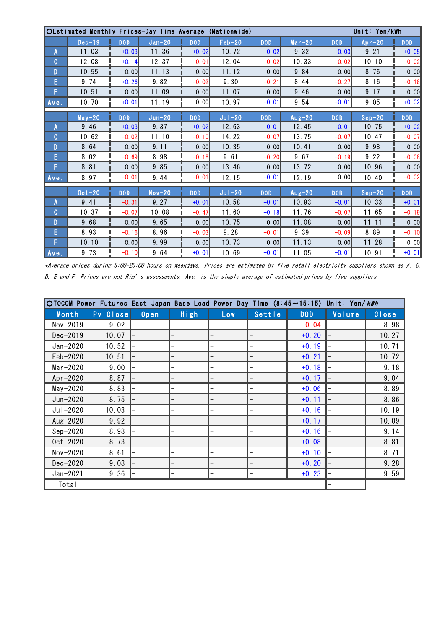|              | OEstimated Monthly Prices-Day Time Average (Nationwide) |            |          |            |           |            |          |            | Unit: Yen/kWh |            |
|--------------|---------------------------------------------------------|------------|----------|------------|-----------|------------|----------|------------|---------------|------------|
|              | $Dec-19$                                                | <b>DOD</b> | $Jan-20$ | <b>DOD</b> | $Feb-20$  | <b>DOD</b> | $Mar-20$ | <b>DOD</b> | $Ar-20$       | <b>DOD</b> |
| A            | 11.03                                                   | $+0.03$    | 11.36    | $+0.02$    | 10.72     | $+0.02$    | 9.32     | $+0.03$    | 9.21          | $+0.05$    |
| C            | 12.08                                                   | $+0.14$    | 12.37    | $-0.01$    | 12.04     | $-0.02$    | 10.33    | $-0.02$    | 10.10         | $-0.02$    |
| D            | 10.55                                                   | 0.00       | 11.13    | 0.00       | 11.12     | 0.00       | 9.84     | 0.00       | 8.76          | 0.00       |
| E            | 9.74                                                    | $+0.26$    | 9.82     | $-0.02$    | 9.30      | $-0.21$    | 8.44     | $-0.27$    | 8.16          | $-0.18$    |
| F            | 10.51                                                   | 0.00       | 11.09    | 0.00       | 11.07     | 0.00       | 9.46     | 0.00       | 9.17          | 0.00       |
| Ave.         | 10.70                                                   | $+0.01$    | 11.19    | 0.00       | 10.97     | $+0.01$    | 9.54     | $+0.01$    | 9.05          | $+0.02$    |
|              |                                                         |            |          |            |           |            |          |            |               |            |
|              | $May-20$                                                | <b>DOD</b> | $Jun-20$ | <b>DOD</b> | $J$ ul-20 | <b>DOD</b> | $Aug-20$ | <b>DOD</b> | $Sep-20$      | <b>DOD</b> |
| A            | 9.46                                                    | $+0.03$    | 9.37     | $+0.02$    | 12.63     | $+0.01$    | 12.45    | $+0.01$    | 10.75         | $+0.02$    |
| C            | 10.62                                                   | $-0.02$    | 11.10    | $-0.10$    | 14.22     | $-0.07$    | 13.75    | $-0.07$    | 10.47         | $-0.07$    |
| D            | 8.64                                                    | 0.00       | 9.11     | 0.00       | 10.35     | 0.001      | 10.41    | 0.00       | 9.98          | 0.00       |
| E            | 8.02                                                    | $-0.69$    | 8.98     | $-0.18$    | 9.61      | $-0.20$    | 9.67     | $-0.19$    | 9.22          | $-0.08$    |
| F            | 8.81                                                    | 0.00       | 9.85     | 0.00       | 13.46     | 0.00       | 13.72    | 0.00       | 10.96         | 0.00       |
| Ave.         | 8.97                                                    | $-0.01$    | 9.44     | $-0.01$    | 12.15     | $+0.01$    | 12.19    | 0.00       | 10.40         | $-0.02$    |
|              | $0ct-20$                                                | <b>DOD</b> | $Nov-20$ | <b>DOD</b> | $J$ ul-20 | <b>DOD</b> | $Aug-20$ | <b>DOD</b> | $Sep-20$      | <b>DOD</b> |
| A            | 9.41                                                    | $-0.31$    | 9.27     | $+0.01$    | 10.58     | $+0.01$    | 10.93    | $+0.01$    | 10.33         | $+0.01$    |
| $\mathbf{C}$ | 10.37                                                   | $-0.07$    | 10.08    | $-0.47$    | 11.60     | $+0.18$    | 11.76    | $-0.07$    | 11.65         | $-0.19$    |
| D            | 9.68                                                    | 0.00       | 9.65     | 0.00       | 10.75     | 0.00       | 11.08    | 0.00       | 11.11         | 0.00       |
| E            | 8.93                                                    | $-0.16$    | 8.96     | $-0.03$    | 9.28      | $-0.01$    | 9.39     | $-0.09$    | 8.89          | $-0.10$    |
| F            | 10.10                                                   | 0.00       | 9.99     | 0.00       | 10.73     | 0.00       | 11.13    | 0.00       | 11.28         | 0.00       |
| Ave.         | 9.73                                                    | $-0.10$    | 9.64     | $+0.01$    | 10.69     | $+0.01$    | 11.05    | $+0.01$    | 10.91         | $+0.01$    |

\*Average prices during 8:00-20:00 hours on weekdays. Prices are estimated by five retail electricity suppliers shown as A, C, D, E and F. Prices are not Rim's assessments. Ave. is the simple average of estimated prices by five suppliers.

| $OIOCOM$ Power Futures East Japan Base Load Power Day Time $(8:45 \sim 15:15)$ |          |             |      |     |        |            | Unit: Yen/kWh |       |
|--------------------------------------------------------------------------------|----------|-------------|------|-----|--------|------------|---------------|-------|
| Month                                                                          | Pv Close | <b>Open</b> | High | Low | Settle | <b>DOD</b> | Volume        | Close |
| Nov-2019                                                                       | 9.02     |             |      |     |        | $-0.04$    |               | 8.98  |
| Dec-2019                                                                       | 10.07    |             |      |     |        | $+0.20$    |               | 10.27 |
| Jan-2020                                                                       | 10.52    |             |      |     |        | $+0.19$    |               | 10.71 |
| Feb-2020                                                                       | 10.51    |             |      |     |        | $+0.21$    |               | 10.72 |
| $Mar-2020$                                                                     | 9.00     |             |      |     |        | $+0.18$    |               | 9.18  |
| $Apr-2020$                                                                     | 8.87     |             |      |     |        | $+0.17$    |               | 9.04  |
| $May-2020$                                                                     | 8.83     |             |      |     |        | $+0.06$    |               | 8.89  |
| Jun-2020                                                                       | 8.75     |             |      |     |        | $+0.11$    |               | 8.86  |
| Jul-2020                                                                       | 10.03    |             |      |     |        | $+0.16$    |               | 10.19 |
| Aug-2020                                                                       | 9.92     |             |      |     |        | $+0.17$    |               | 10.09 |
| $Sep-2020$                                                                     | 8.98     |             |      |     |        | $+0.16$    |               | 9.14  |
| $0ct-2020$                                                                     | 8.73     |             |      |     |        | $+0.08$    |               | 8.81  |
| Nov-2020                                                                       | 8.61     |             |      |     |        | $+0.10$    |               | 8.71  |
| $Dec-2020$                                                                     | 9.08     |             |      |     |        | $+0.20$    |               | 9.28  |
| Jan-2021                                                                       | 9.36     |             |      |     |        | $+0.23$    |               | 9.59  |
| Total                                                                          |          |             |      |     |        |            |               |       |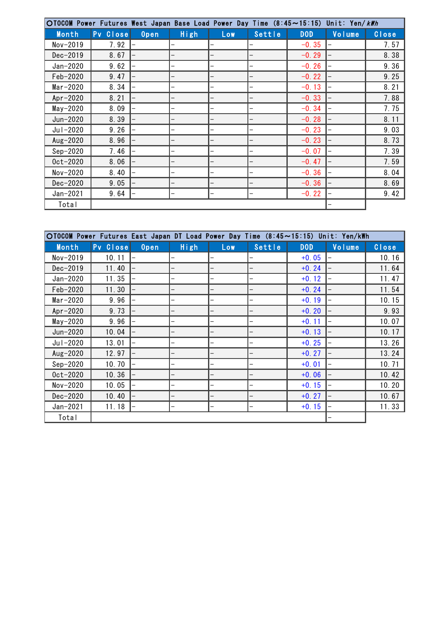| OTOCOM Power Futures West Japan Base Load Power Day Time (8:45~15:15) Unit: Yen/kWh |          |             |      |     |        |            |        |       |
|-------------------------------------------------------------------------------------|----------|-------------|------|-----|--------|------------|--------|-------|
| Month                                                                               | Pv Close | <b>Open</b> | High | Low | Settle | <b>DOD</b> | Volume | Close |
| $Nov-2019$                                                                          | 7.92     |             |      |     |        | $-0.35$    |        | 7.57  |
| Dec-2019                                                                            | 8.67     |             |      |     |        | $-0.29$    |        | 8.38  |
| Jan-2020                                                                            | 9.62     |             |      |     |        | $-0.26$    |        | 9.36  |
| Feb-2020                                                                            | 9.47     |             |      |     |        | $-0.22$    |        | 9.25  |
| $Mar-2020$                                                                          | 8.34     |             |      |     |        | $-0.13$    |        | 8.21  |
| $Apr-2020$                                                                          | 8.21     |             |      |     |        | $-0.33$    |        | 7.88  |
| $May-2020$                                                                          | 8.09     |             |      |     |        | $-0.34$    |        | 7.75  |
| Jun-2020                                                                            | 8.39     |             |      |     |        | $-0.28$    |        | 8.11  |
| Jul-2020                                                                            | 9.26     |             |      |     |        | $-0.23$    |        | 9.03  |
| Aug-2020                                                                            | 8.96     |             |      |     |        | $-0.23$    |        | 8.73  |
| $Sep-2020$                                                                          | 7.46     |             |      |     |        | $-0.07$    |        | 7.39  |
| $0ct-2020$                                                                          | 8.06     |             |      |     |        | $-0.47$    |        | 7.59  |
| Nov-2020                                                                            | 8.40     |             |      |     |        | $-0.36$    |        | 8.04  |
| Dec-2020                                                                            | 9.05     |             |      |     |        | $-0.36$    |        | 8.69  |
| Jan-2021                                                                            | 9.64     |             |      |     |        | $-0.22$    |        | 9.42  |
| Total                                                                               |          |             |      |     |        |            |        |       |

| ○TOCOM Power Futures East Japan DT Load Power Day Time (8:45~15:15) Unit: Yen/kWh |          |      |      |            |        |            |        |       |
|-----------------------------------------------------------------------------------|----------|------|------|------------|--------|------------|--------|-------|
| Month                                                                             | Pv Close | Open | High | <b>Low</b> | Settle | <b>DOD</b> | Volume | Close |
| Nov-2019                                                                          | 10.11    |      |      |            |        | $+0.05$    |        | 10.16 |
| Dec-2019                                                                          | 11.40    |      |      |            |        | $+0.24$    |        | 11.64 |
| Jan-2020                                                                          | 11.35    |      |      |            |        | $+0.12$    |        | 11.47 |
| Feb-2020                                                                          | 11.30    |      |      |            |        | $+0.24$    |        | 11.54 |
| $Mar-2020$                                                                        | 9.96     |      |      |            |        | $+0.19$    |        | 10.15 |
| $Apr-2020$                                                                        | 9.73     |      |      |            |        | $+0.20$    |        | 9.93  |
| $May-2020$                                                                        | 9.96     |      |      |            |        | $+0.11$    |        | 10.07 |
| Jun-2020                                                                          | 10.04    |      |      |            |        | $+0.13$    |        | 10.17 |
| Jul-2020                                                                          | 13.01    |      |      |            |        | $+0.25$    |        | 13.26 |
| Aug-2020                                                                          | 12.97    |      |      |            |        | $+0.27$    |        | 13.24 |
| $Sep-2020$                                                                        | 10.70    |      |      |            |        | $+0.01$    |        | 10.71 |
| $0ct-2020$                                                                        | 10.36    |      |      |            |        | $+0.06$    |        | 10.42 |
| Nov-2020                                                                          | 10.05    |      |      |            |        | $+0.15$    |        | 10.20 |
| Dec-2020                                                                          | 10.40    |      |      |            |        | $+0.27$    |        | 10.67 |
| $Jan-2021$                                                                        | 11.18    |      |      |            |        | $+0.15$    |        | 11.33 |
| Total                                                                             |          |      |      |            |        |            |        |       |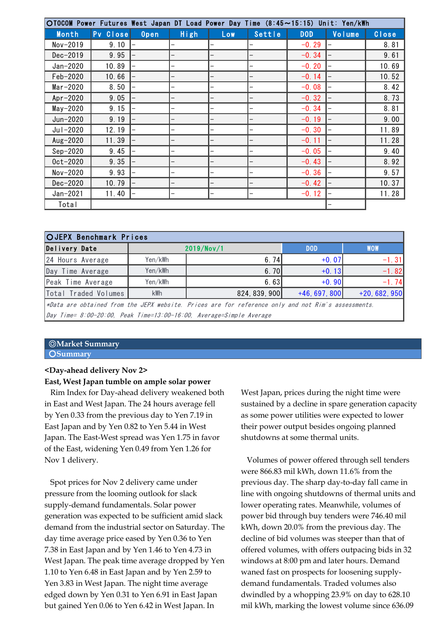| ○TOCOM Power Futures West Japan DT Load Power Day Time (8:45~15:15) Unit: Yen/kWh |          |      |      |            |        |            |        |       |
|-----------------------------------------------------------------------------------|----------|------|------|------------|--------|------------|--------|-------|
| Month                                                                             | Pv Close | Open | High | <b>Low</b> | Settle | <b>DOD</b> | Volume | Close |
| Nov-2019                                                                          | 9.10     |      |      |            |        | $-0.29$    |        | 8.81  |
| $Dec-2019$                                                                        | 9.95     |      |      |            |        | $-0.34$    |        | 9.61  |
| Jan-2020                                                                          | 10.89    |      |      |            |        | $-0.20$    |        | 10.69 |
| Feb-2020                                                                          | 10.66    |      |      |            |        | $-0.14$    |        | 10.52 |
| $Mar-2020$                                                                        | 8.50     |      |      |            |        | $-0.08$    |        | 8.42  |
| $Apr-2020$                                                                        | 9.05     |      |      |            |        | $-0.32$    |        | 8.73  |
| $May-2020$                                                                        | 9.15     |      |      |            |        | $-0.34$    |        | 8.81  |
| Jun-2020                                                                          | 9.19     |      |      |            |        | $-0.19$    |        | 9.00  |
| Jul-2020                                                                          | 12.19    |      |      |            |        | $-0.30$    |        | 11.89 |
| Aug-2020                                                                          | 11.39    |      |      |            |        | $-0.11$    |        | 11.28 |
| $Sep-2020$                                                                        | 9.45     |      |      |            |        | $-0.05$    |        | 9.40  |
| $0ct-2020$                                                                        | 9.35     |      |      |            |        | $-0.43$    |        | 8.92  |
| Nov-2020                                                                          | 9.93     |      |      |            |        | $-0.36$    |        | 9.57  |
| Dec-2020                                                                          | 10.79    |      |      |            |        | $-0.42$    |        | 10.37 |
| Jan-2021                                                                          | 11.40    |      |      |            |        | $-0.12$    |        | 11.28 |
| Total                                                                             |          |      |      |            |        |            |        |       |

| Total                         |         |                                                                                                    |                 |               |
|-------------------------------|---------|----------------------------------------------------------------------------------------------------|-----------------|---------------|
|                               |         |                                                                                                    |                 |               |
| <b>OJEPX Benchmark Prices</b> |         |                                                                                                    |                 |               |
| Delivery Date                 |         | 2019/Nov/1                                                                                         | <b>DOD</b>      | <b>WOW</b>    |
| 24 Hours Average              | Yen/kWh | 6.74                                                                                               | $+0.07$         | $-1.31$       |
| Day Time Average              | Yen/kWh | 6.70                                                                                               | $+0.13$         | $-1.82$       |
| Peak Time Average             | Yen/kWh | 6.63                                                                                               | $+0.90$         | $-1.74$       |
| Total Traded Volumes          | kWh     | 824, 839, 900                                                                                      | $+46, 697, 800$ | $+20,682,950$ |
|                               |         | *Data are obtained from the JEPX website. Prices are for reference only and not Rim's assessments. |                 |               |
|                               |         | $\beta$ ay Time= 8:00-20:00, Peak Time=13:00-16:00, Average=Simple Average                         |                 |               |

#### ◎**Market Summary** ○**Summary**

# **<Day-ahead delivery Nov 2>**

## **East, West Japan tumble on ample solar power**

 Rim Index for Day-ahead delivery weakened both in East and West Japan. The 24 hours average fell by Yen 0.33 from the previous day to Yen 7.19 in East Japan and by Yen 0.82 to Yen 5.44 in West Japan. The East-West spread was Yen 1.75 in favor of the East, widening Yen 0.49 from Yen 1.26 for Nov 1 delivery.

 Spot prices for Nov 2 delivery came under pressure from the looming outlook for slack supply-demand fundamentals. Solar power generation was expected to be sufficient amid slack demand from the industrial sector on Saturday. The day time average price eased by Yen 0.36 to Yen 7.38 in East Japan and by Yen 1.46 to Yen 4.73 in West Japan. The peak time average dropped by Yen 1.10 to Yen 6.48 in East Japan and by Yen 2.59 to Yen 3.83 in West Japan. The night time average edged down by Yen 0.31 to Yen 6.91 in East Japan but gained Yen 0.06 to Yen 6.42 in West Japan. In

West Japan, prices during the night time were sustained by a decline in spare generation capacity as some power utilities were expected to lower their power output besides ongoing planned shutdowns at some thermal units.

 Volumes of power offered through sell tenders were 866.83 mil kWh, down 11.6% from the previous day. The sharp day-to-day fall came in line with ongoing shutdowns of thermal units and lower operating rates. Meanwhile, volumes of power bid through buy tenders were 746.40 mil kWh, down 20.0% from the previous day. The decline of bid volumes was steeper than that of offered volumes, with offers outpacing bids in 32 windows at 8:00 pm and later hours. Demand waned fast on prospects for loosening supplydemand fundamentals. Traded volumes also dwindled by a whopping 23.9% on day to 628.10 mil kWh, marking the lowest volume since 636.09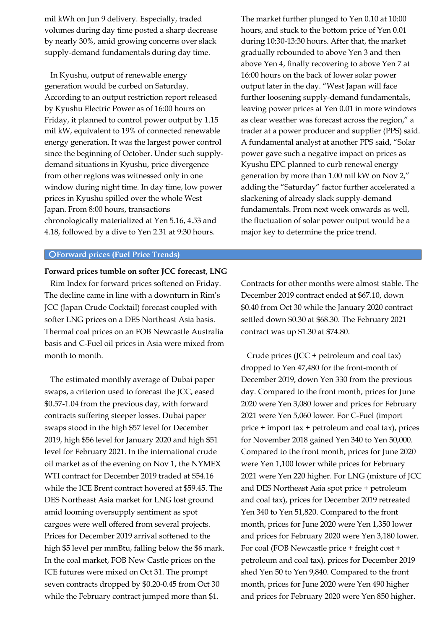mil kWh on Jun 9 delivery. Especially, traded volumes during day time posted a sharp decrease by nearly 30%, amid growing concerns over slack supply-demand fundamentals during day time.

 In Kyushu, output of renewable energy generation would be curbed on Saturday. According to an output restriction report released by Kyushu Electric Power as of 16:00 hours on Friday, it planned to control power output by 1.15 mil kW, equivalent to 19% of connected renewable energy generation. It was the largest power control since the beginning of October. Under such supplydemand situations in Kyushu, price divergence from other regions was witnessed only in one window during night time. In day time, low power prices in Kyushu spilled over the whole West Japan. From 8:00 hours, transactions chronologically materialized at Yen 5.16, 4.53 and 4.18, followed by a dive to Yen 2.31 at 9:30 hours.

○**Forward prices (Fuel Price Trends)**

#### **Forward prices tumble on softer JCC forecast, LNG**

 Rim Index for forward prices softened on Friday. The decline came in line with a downturn in Rim's JCC (Japan Crude Cocktail) forecast coupled with softer LNG prices on a DES Northeast Asia basis. Thermal coal prices on an FOB Newcastle Australia basis and C-Fuel oil prices in Asia were mixed from month to month.

 The estimated monthly average of Dubai paper swaps, a criterion used to forecast the JCC, eased \$0.57-1.04 from the previous day, with forward contracts suffering steeper losses. Dubai paper swaps stood in the high \$57 level for December 2019, high \$56 level for January 2020 and high \$51 level for February 2021. In the international crude oil market as of the evening on Nov 1, the NYMEX WTI contract for December 2019 traded at \$54.16 while the ICE Brent contract hovered at \$59.45. The DES Northeast Asia market for LNG lost ground amid looming oversupply sentiment as spot cargoes were well offered from several projects. Prices for December 2019 arrival softened to the high \$5 level per mmBtu, falling below the \$6 mark. In the coal market, FOB New Castle prices on the ICE futures were mixed on Oct 31. The prompt seven contracts dropped by \$0.20-0.45 from Oct 30 while the February contract jumped more than \$1.

The market further plunged to Yen 0.10 at 10:00 hours, and stuck to the bottom price of Yen 0.01 during 10:30-13:30 hours. After that, the market gradually rebounded to above Yen 3 and then above Yen 4, finally recovering to above Yen 7 at 16:00 hours on the back of lower solar power output later in the day. "West Japan will face further loosening supply-demand fundamentals, leaving power prices at Yen 0.01 in more windows as clear weather was forecast across the region," a trader at a power producer and supplier (PPS) said. A fundamental analyst at another PPS said, "Solar power gave such a negative impact on prices as Kyushu EPC planned to curb renewal energy generation by more than 1.00 mil kW on Nov 2," adding the "Saturday" factor further accelerated a slackening of already slack supply-demand fundamentals. From next week onwards as well, the fluctuation of solar power output would be a major key to determine the price trend.

Contracts for other months were almost stable. The December 2019 contract ended at \$67.10, down \$0.40 from Oct 30 while the January 2020 contract settled down \$0.30 at \$68.30. The February 2021 contract was up \$1.30 at \$74.80.

 Crude prices (JCC + petroleum and coal tax) dropped to Yen 47,480 for the front-month of December 2019, down Yen 330 from the previous day. Compared to the front month, prices for June 2020 were Yen 3,080 lower and prices for February 2021 were Yen 5,060 lower. For C-Fuel (import price + import tax + petroleum and coal tax), prices for November 2018 gained Yen 340 to Yen 50,000. Compared to the front month, prices for June 2020 were Yen 1,100 lower while prices for February 2021 were Yen 220 higher. For LNG (mixture of JCC and DES Northeast Asia spot price + petroleum and coal tax), prices for December 2019 retreated Yen 340 to Yen 51,820. Compared to the front month, prices for June 2020 were Yen 1,350 lower and prices for February 2020 were Yen 3,180 lower. For coal (FOB Newcastle price + freight cost + petroleum and coal tax), prices for December 2019 shed Yen 50 to Yen 9,840. Compared to the front month, prices for June 2020 were Yen 490 higher and prices for February 2020 were Yen 850 higher.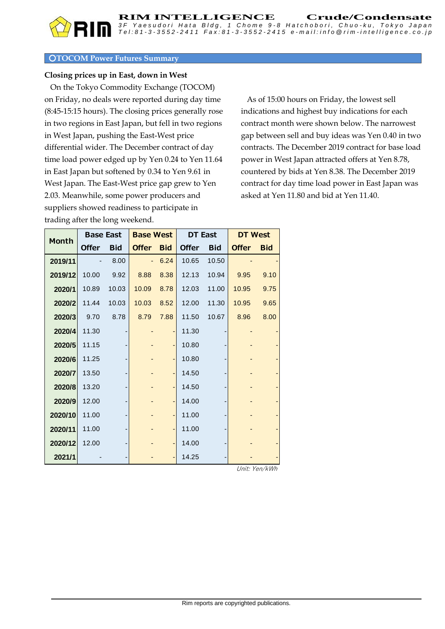## ○**TOCOM Power Futures Summary**

# **Closing prices up in East, down in West**

 On the Tokyo Commodity Exchange (TOCOM) on Friday, no deals were reported during day time (8:45-15:15 hours). The closing prices generally rose in two regions in East Japan, but fell in two regions in West Japan, pushing the East-West price differential wider. The December contract of day time load power edged up by Yen 0.24 to Yen 11.64 in East Japan but softened by 0.34 to Yen 9.61 in West Japan. The East-West price gap grew to Yen 2.03. Meanwhile, some power producers and suppliers showed readiness to participate in trading after the long weekend.

 As of 15:00 hours on Friday, the lowest sell indications and highest buy indications for each contract month were shown below. The narrowest gap between sell and buy ideas was Yen 0.40 in two contracts. The December 2019 contract for base load power in West Japan attracted offers at Yen 8.78, countered by bids at Yen 8.38. The December 2019 contract for day time load power in East Japan was asked at Yen 11.80 and bid at Yen 11.40.

| <b>Month</b> | <b>Base East</b> |            | <b>Base West</b> |            | <b>DT East</b> |            | <b>DT West</b> |            |
|--------------|------------------|------------|------------------|------------|----------------|------------|----------------|------------|
|              | <b>Offer</b>     | <b>Bid</b> | <b>Offer</b>     | <b>Bid</b> | <b>Offer</b>   | <b>Bid</b> | <b>Offer</b>   | <b>Bid</b> |
| 2019/11      |                  | 8.00       |                  | 6.24       | 10.65          | 10.50      |                |            |
| 2019/12      | 10.00            | 9.92       | 8.88             | 8.38       | 12.13          | 10.94      | 9.95           | 9.10       |
| 2020/1       | 10.89            | 10.03      | 10.09            | 8.78       | 12.03          | 11.00      | 10.95          | 9.75       |
| 2020/2       | 11.44            | 10.03      | 10.03            | 8.52       | 12.00          | 11.30      | 10.95          | 9.65       |
| 2020/3       | 9.70             | 8.78       | 8.79             | 7.88       | 11.50          | 10.67      | 8.96           | 8.00       |
| 2020/4       | 11.30            |            |                  | -          | 11.30          |            |                |            |
| 2020/5       | 11.15            |            |                  |            | 10.80          |            |                |            |
| 2020/6       | 11.25            |            |                  |            | 10.80          |            |                |            |
| 2020/7       | 13.50            |            |                  |            | 14.50          |            |                |            |
| 2020/8       | 13.20            |            |                  |            | 14.50          |            |                |            |
| 2020/9       | 12.00            |            |                  |            | 14.00          |            |                |            |
| 2020/10      | 11.00            |            |                  |            | 11.00          |            |                |            |
| 2020/11      | 11.00            |            |                  |            | 11.00          |            |                |            |
| 2020/12      | 12.00            |            |                  |            | 14.00          |            |                |            |
| 2021/1       |                  |            |                  |            | 14.25          |            |                |            |

Unit: Yen/kWh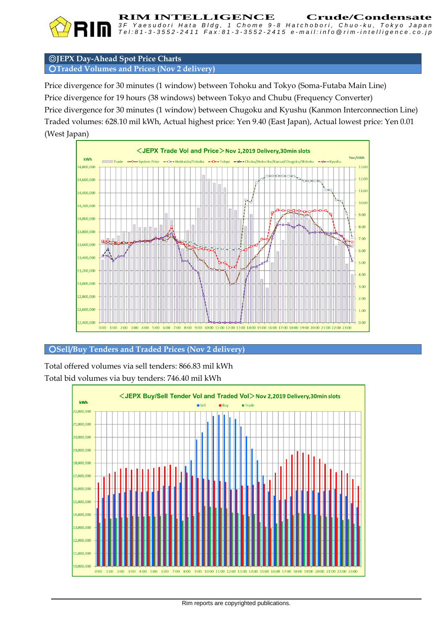

**RIM INTELLIGENCE** Crude/Condensate<br>3F Yaesudori Hata Bldg. 1 Chome 9-8 Hatchobori. Chuo-ku. Tokyo Japan *3 F Y a e s u d o r i H a t a B l d g , 1 C h o m e 9 - 8 H a t c h o b o r i , C h u o - k u , T o k y o J a p a n*

◎**JEPX Day-Ahead Spot Price Charts** ○**Traded Volumes and Prices (Nov 2 delivery)**

Price divergence for 30 minutes (1 window) between Tohoku and Tokyo (Soma-Futaba Main Line) Price divergence for 19 hours (38 windows) between Tokyo and Chubu (Frequency Converter) Price divergence for 30 minutes (1 window) between Chugoku and Kyushu (Kanmon Interconnection Line) Traded volumes: 628.10 mil kWh, Actual highest price: Yen 9.40 (East Japan), Actual lowest price: Yen 0.01 (West Japan)



## ○**Sell/Buy Tenders and Traded Prices (Nov 2 delivery)**

Total offered volumes via sell tenders: 866.83 mil kWh Total bid volumes via buy tenders: 746.40 mil kWh

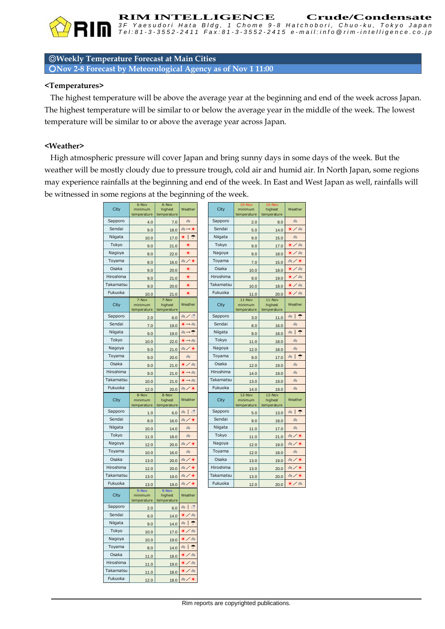

**RIM INTELLIGENCE Crude/Condensate**<br>3F Yaesudori Hata Bldg, 1 Chome 9-8 Hatchobori, Chuo-ku, Tokyo Japan Tel:81-3-3552-2411 Fax:81-3-3552-2415 e-mail:info@rim-intelligence.co.jp

◎**Weekly Temperature Forecast at Main Cities**

○**Nov 2-8 Forecast by Meteorological Agency as of Nov 1 11:00**

#### **<Temperatures>**

 The highest temperature will be above the average year at the beginning and end of the week across Japan. The highest temperature will be similar to or below the average year in the middle of the week. The lowest temperature will be similar to or above the average year across Japan.

## **<Weather>**

 High atmospheric pressure will cover Japan and bring sunny days in some days of the week. But the weather will be mostly cloudy due to pressure trough, cold air and humid air. In North Japan, some regions may experience rainfalls at the beginning and end of the week. In East and West Japan as well, rainfalls will be witnessed in some regions at the beginning of the week.

|           | 6-Nov         | 6-Nov        |                                           |           | 10-Nov      | 10-Nov      |                               |
|-----------|---------------|--------------|-------------------------------------------|-----------|-------------|-------------|-------------------------------|
| City      | minimum       | highest      | Weather                                   | City      | minimum     | highest     | Weather                       |
|           | temperature   | temperature  |                                           |           | emperature  | temperature |                               |
| Sapporo   | 4.0           | 7.0          | $\partial z$                              | Sapporo   | 2.0         | 8.0         | de                            |
| Sendai    |               |              | ▲→米                                       | Sendai    |             |             | ※/ &                          |
| Niigata   | 9.0           | 18.0         |                                           | Niigata   | 5.0         | 14.0        |                               |
|           | 10.0          | 17.0         | *∣↑                                       |           | 9.0         | 15.0        | $\partial z$                  |
| Tokyo     | 9.0           | 21.0         | ☀                                         | Tokyo     | 9.0         | 17.0        | $\frac{1}{2}$ / $\frac{1}{2}$ |
| Nagoya    | 8.0           | 22.0         | ۵                                         | Nagoya    | 9.0         | 18.0        | キノミ                           |
| Toyama    | 8.0           | 16.0         | &/ *                                      | Toyama    | 7.0         | 15.0        | 融入赛                           |
| Osaka     | 9.0           | 20.0         | 美                                         | Osaka     | 10.0        | 18.0        | $\frac{1}{2}$ / 80            |
| Hiroshima | 9.0           | 21.0         | ☀                                         | Hiroshima | 9.0         | 19.0        | $\frac{1}{2}$ / $\frac{1}{2}$ |
| Takamatsu | 9.0           | 20.0         | ☀                                         | Takamatsu | 10.0        | 18.0        | $\frac{1}{2}$ / $\frac{1}{2}$ |
| Fukuoka   | 10.0          | 21.0         | 骞                                         | Fukuoka   | 11.0        | 20.0        | $\frac{1}{2}$ / 80            |
|           | 7-Nov         | 7-Nov        |                                           |           | $11 - Nov$  | $11 - Nov$  |                               |
| City      | minimum       | highest      | Weather                                   | City      | minimum     | highest     | Weather                       |
|           | temperature   | temperature  |                                           |           | temperature | temperature |                               |
| Sapporo   | 2.0           | 6.0          | ミノ湾                                       | Sapporo   | 3.0         | 11.0        | $\hat{\tau}$<br>$R_{\rm S}$   |
| Sendai    | 7.0           | 19.0         | $\blacklozenge \rightarrow \mathcal{S}_0$ | Sendai    | 8.0         | 16.0        | de                            |
| Niigata   | 9.0           | 19.0         | $a \rightarrow \uparrow$                  | Niigata   | 9.0         | 18.0        | $\sim$   T                    |
| Tokyo     | 10.0          | 22.0         | ☀→₩                                       | Tokyo     | 11.0        | 18.0        | δt                            |
| Nagoya    | 9.0           | 21.0         | 融入赛                                       | Nagoya    | 12.0        | 18.0        | de                            |
| Toyama    | 9.0           | 20.0         | de                                        | Toyama    | 9.0         | 17.0        | $\approx$   $\Upsilon$        |
| Osaka     | 9.0           | 21.0         | $\ast$ / $\ast$                           | Osaka     | 12.0        | 19.0        | de                            |
| Hiroshima | 9.0           | 21.0         | $\blacklozenge \rightarrow \mathcal{S}_0$ | Hiroshima | 14.0        | 19.0        | dis                           |
| Takamatsu | 10.0          | 21.0         | $\leftarrow -\infty$                      | Takamatsu | 13.0        | 19.0        | de                            |
| Fukuoka   | 12.0          | 20.0         | ● / 美                                     | Fukuoka   | 14.0        | 19.0        | de.                           |
|           | 8-Nov         | 8-Nov        |                                           |           | 12-Nov      | 12-Nov      |                               |
| City      | minimum       | highest      | Weather                                   | City      | minimum     | highest     | Weather                       |
|           | temperature   | temperature  |                                           |           | temperature | temperature |                               |
| Sapporo   | 1.0           | 6.0          | 擠<br>a: I                                 | Sapporo   | 5.0         | 13.0        | $\frac{1}{2}$                 |
| Sendai    | 8.0           | 16.0         | 融入賽                                       | Sendai    | 9.0         | 18.0        | de                            |
| Niigata   | 10.0          | 14.0         | de                                        | Niigata   | 11.0        | 17.0        | de                            |
| Tokyo     | 11.0          | 18.0         | a.                                        | Tokyo     | 11.0        | 21.0        | &/美                           |
| Nagoya    | 12.0          | 20.0         | 融入策                                       | Nagoya    | 12.0        | 19.0        | 和/米                           |
| Toyama    | 10.0          | 16.0         | a.                                        | Toyama    | 12.0        | 18.0        | $\partial z$                  |
| Osaka     | 13.0          | 20.0         | 融入策                                       | Osaka     | 13.0        | 19.0        | 和/米                           |
| Hiroshima | 12.0          | 20.0         | ╱╶⋟                                       | Hiroshima | 13.0        | 20.0        | 融入条                           |
| Takamatsu | 13.0          | 19.0         | 融入赛                                       | Takamatsu | 13.0        | 20.0        | 融入赛                           |
| Fukuoka   |               | 19.0         | 融入策                                       | Fukuoka   | 12.0        |             | $\ast$ / 80                   |
|           | 13.0<br>9-Nov | 9-Nov        |                                           |           |             | 20.0        |                               |
| City      | minimum       | highest      | Weather                                   |           |             |             |                               |
|           | temperature   | temperature  |                                           |           |             |             |                               |
| Sapporo   | 2.0           | 6.0          | 獢<br>$\alpha$                             |           |             |             |                               |
| Sendai    | 6.0           | 14.0         | $\star$ / 80                              |           |             |             |                               |
| Niigata   | 9.0           | 14.0         | $\sim$ $\mid$ $\uparrow$                  |           |             |             |                               |
| Tokyo     | 10.0          | 17.0         | $\ast$ / $\ast$                           |           |             |             |                               |
| Nagoya    | 10.0          | 19.0         | $\epsilon$ / $\epsilon$                   |           |             |             |                               |
|           |               |              |                                           |           |             |             |                               |
| Toyama    | 8.0           | 14.0         | $\sim$ $\mid$ $\uparrow$                  |           |             |             |                               |
| Osaka     |               |              | $\frac{1}{2}$ / $\frac{1}{2}$             |           |             |             |                               |
| Hiroshima | 11.0          | 18.0         | $\ast$ / 80                               |           |             |             |                               |
| Takamatsu | 11.0          | 19.0         | キノミ                                       |           |             |             |                               |
| Fukuoka   | 11.0<br>12.0  | 18.0<br>18.0 | &/ *                                      |           |             |             |                               |

| Weather                        | City      | <b>TA-IAOA</b><br>minimum<br>temperature | <b>TO-IAOA</b><br>highest<br>temperature | Weather                                       |
|--------------------------------|-----------|------------------------------------------|------------------------------------------|-----------------------------------------------|
| de                             | Sapporo   | 2.0                                      | 8.0                                      | de                                            |
| ▲→米                            | Sendai    | 5.0                                      | 14.0                                     | 米/ &                                          |
| ☀│<br>$\hat{\tau}$             | Niigata   | 9.0                                      | 15.0                                     | de                                            |
| ☀                              | Tokyo     | 9.0                                      | 17.0                                     | $*$ / $\approx$                               |
| ☀                              | Nagoya    | 9.0                                      | 18.0                                     | ※/ &                                          |
| ミノ米                            | Toyama    | 7.0                                      | 15.0                                     | 融入楽                                           |
| ☀                              | Osaka     | 10.0                                     | 18.0                                     | $\frac{1}{2}$ / $\frac{1}{2}$                 |
| ☀                              | Hiroshima | 9.0                                      | 19.0                                     | 米/西                                           |
| ☀                              | Takamatsu | 10.0                                     | 18.0                                     | ネノミ                                           |
| 寨                              | Fukuoka   | 11.0                                     | 20.0                                     | ※/ &                                          |
| Weather                        | City      | $11 - Nov$<br>minimum<br>temperature     | 11-Nov<br>highest<br>temperature         | Weather                                       |
| ミノ感                            | Sapporo   | 3.0                                      | 11.0                                     | $\alpha$<br>T                                 |
| ※→ A                           | Sendai    | 8.0                                      | 16.0                                     | de                                            |
| $a \rightarrow \uparrow$       | Niigata   | 9.0                                      | 18.0                                     | $\mathfrak{g}$<br>$\hat{\mathbf{\tau}}$<br>de |
| ☀→▲                            | Tokyo     | 11.0                                     | 18.0                                     | de                                            |
| 融入条                            | Nagoya    | 12.0                                     | 18.0                                     | de                                            |
| $\partial u$                   | Toyama    | 9.0                                      | 17.0                                     | $a \mid \Upsilon$                             |
| ※/ &                           | Osaka     | 12.0                                     | 19.0                                     | de.                                           |
| $\star \rightarrow \mathbb{A}$ | Hiroshima | 14.0                                     | 19.0                                     | de.                                           |
| ☀.<br>$\cdot$ and              | Takamatsu | 13.0                                     | 19.0                                     | de                                            |
| 融入条                            | Fukuoka   | 14.0                                     | 19.0                                     | de                                            |
| Weather                        | City      | 12-Nov<br>minimum<br>temperature         | 12-Nov<br>highest<br>temperature         | Weather                                       |
| 4   感                          | Sapporo   | 5.0                                      | 13.0                                     | $\bullet$   $\Upsilon$                        |
| ルノ米                            | Sendai    | 9.0                                      | 18.0                                     | $\partial z$                                  |
| $\partial z$                   | Niigata   | 11.0                                     | 17.0                                     | $\partial z$                                  |
| $\partial x$                   | Tokyo     | 11.0                                     | 21.0                                     | 融入賽                                           |
| 融入条                            | Nagoya    | 12.0                                     | 19.0                                     | 融入条                                           |
| du.                            | Toyama    | 12.0                                     | 18.0                                     | de                                            |
| 和/米                            | Osaka     | 13.0                                     | 19.0                                     | 和/米                                           |
| 和/米                            | Hiroshima | 13.0                                     | 20.0                                     | 和/楽                                           |
| ルノネ                            | Takamatsu | 13.0                                     | 20.0                                     | 和/米                                           |
| 融入条                            | Fukuoka   | 120                                      | 200                                      | $*$ / $\approx$                               |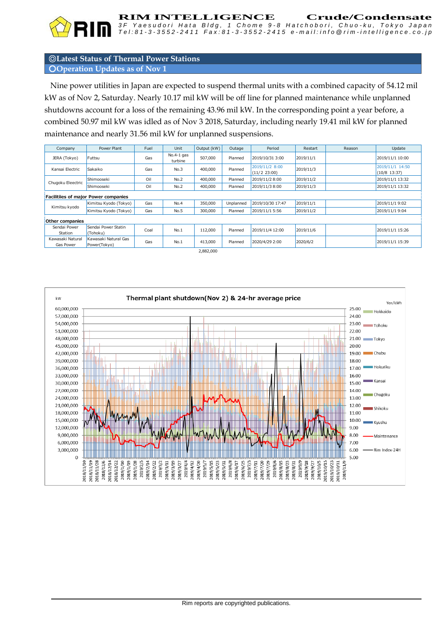

**RIM INTELLIGENCE** Crude/Condensate<br>3F Yaesudori Hata Bldg. 1 Chome 9-8 Hatchobori. Chuo-ku. Tokyo Japan

# ◎**Latest Status of Thermal Power Stations** ○**Operation Updates as of Nov 1**

 Nine power utilities in Japan are expected to suspend thermal units with a combined capacity of 54.12 mil kW as of Nov 2, Saturday. Nearly 10.17 mil kW will be off line for planned maintenance while unplanned shutdowns account for a loss of the remaining 43.96 mil kW. In the corresponding point a year before, a combined 50.97 mil kW was idled as of Nov 3 2018, Saturday, including nearly 19.41 mil kW for planned maintenance and nearly 31.56 mil kW for unplanned suspensions.

| Gas<br>Gas                           | $No.4-1$ gas<br>turbine                        | 507.000 | Planned   |                                |           |  |                                 |  |  |  |
|--------------------------------------|------------------------------------------------|---------|-----------|--------------------------------|-----------|--|---------------------------------|--|--|--|
|                                      |                                                |         |           | 2019/10/31 3:00                | 2019/11/1 |  | 2019/11/1 10:00                 |  |  |  |
|                                      | No.3                                           | 400.000 | Planned   | 2019/11/2 8:00<br>(11/2 23:00) | 2019/11/3 |  | 2019/11/1 14:50<br>(10/8 13:37) |  |  |  |
| Oil                                  | No.2                                           | 400.000 | Planned   | 2019/11/2 8:00                 | 2019/11/2 |  | 2019/11/1 13:32                 |  |  |  |
| Oil                                  | No.2                                           | 400,000 | Planned   | 2019/11/3 8:00                 | 2019/11/3 |  | 2019/11/1 13:32                 |  |  |  |
| Facilitiies of major Power companies |                                                |         |           |                                |           |  |                                 |  |  |  |
| Gas                                  | No.4                                           | 350,000 | Unplanned | 2019/10/30 17:47               | 2019/11/1 |  | 2019/11/1 9:02                  |  |  |  |
| Gas                                  | No.5                                           | 300,000 | Planned   | 2019/11/1 5:56                 | 2019/11/2 |  | 2019/11/1 9:04                  |  |  |  |
| Other companies                      |                                                |         |           |                                |           |  |                                 |  |  |  |
| Coal                                 | No.1                                           | 112,000 | Planned   | 2019/11/4 12:00                | 2019/11/6 |  | 2019/11/1 15:26                 |  |  |  |
| Gas                                  | No.1                                           | 413,000 | Planned   | 2020/4/29 2:00                 | 2020/6/2  |  | 2019/11/1 15:39                 |  |  |  |
| Kawasaki Natural Gas                 | Kimitsu Kyodo (Tokyo)<br>Kimitsu Kyodo (Tokyo) |         |           |                                |           |  | -------                         |  |  |  |

2,882,000

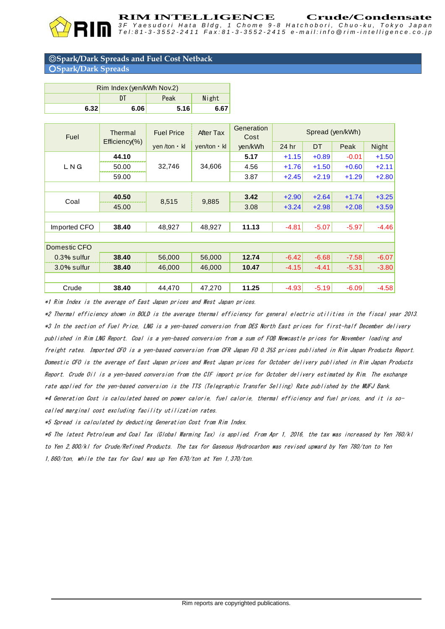#### **RIM INTELLIGENCE Crude/Condensate**

*3 F Y a e s u d o r i H a t a B l d g , 1 C h o m e 9 - 8 H a t c h o b o r i , C h u o - k u , T o k y o J a p a n* Tel:81-3-3552-2411 Fax:81-3-3552-2415 e-mail:info@rim-intelligence.co.jp

#### ◎**Spark/Dark Spreads and Fuel Cost Netback** ○**Spark/Dark Spreads**

|              | Rim Index (yen/kWh Nov.2) |                   |                    |                    |                  |           |         |         |  |  |
|--------------|---------------------------|-------------------|--------------------|--------------------|------------------|-----------|---------|---------|--|--|
|              | DT                        | Peak<br>Night     |                    |                    |                  |           |         |         |  |  |
| 6.32         | 6.06                      | 5.16              | 6.67               |                    |                  |           |         |         |  |  |
| Fuel         | Thermal                   | <b>Fuel Price</b> | <b>After Tax</b>   | Generation<br>Cost | Spread (yen/kWh) |           |         |         |  |  |
|              | Efficiency(%)             | yen /ton · kl     | $yen/ton \cdot kl$ | yen/kWh            | 24 hr            | <b>DT</b> | Peak    | Night   |  |  |
|              | 44.10                     |                   | 34,606             | 5.17               | $+1.15$          | $+0.89$   | $-0.01$ | $+1.50$ |  |  |
| LNG          | 50.00                     | 32,746            |                    | 4.56               | $+1.76$          | $+1.50$   | $+0.60$ | $+2.11$ |  |  |
|              | 59.00                     |                   |                    | 3.87               | $+2.45$          | $+2.19$   | $+1.29$ | $+2.80$ |  |  |
|              |                           |                   |                    |                    |                  |           |         |         |  |  |
| Coal         | 40.50                     | 8,515             | 9,885              | 3.42               | $+2.90$          | $+2.64$   | $+1.74$ | $+3.25$ |  |  |
|              | 45.00                     |                   |                    | 3.08               | $+3.24$          | $+2.98$   | $+2.08$ | $+3.59$ |  |  |
|              |                           |                   |                    |                    |                  |           |         |         |  |  |
| Imported CFO | 38.40                     | 48,927            | 48,927             | 11.13              | $-4.81$          | $-5.07$   | $-5.97$ | $-4.46$ |  |  |
|              |                           |                   |                    |                    |                  |           |         |         |  |  |
| Domestic CFO |                           |                   |                    |                    |                  |           |         |         |  |  |
| 0.3% sulfur  | 38.40                     | 56,000            | 56,000             | 12.74              | $-6.42$          | $-6.68$   | $-7.58$ | $-6.07$ |  |  |
| 3.0% sulfur  | 38.40                     | 46,000            | 46,000             | 10.47              | $-4.15$          | $-4.41$   | $-5.31$ | $-3.80$ |  |  |
|              |                           |                   |                    |                    |                  |           |         |         |  |  |
| Crude        | 38.40                     | 44,470            | 47,270             | 11.25              | $-4.93$          | $-5.19$   | $-6.09$ | $-4.58$ |  |  |

\*1 Rim Index is the average of East Japan prices and West Japan prices.

\*2 Thermal efficiency shown in BOLD is the average thermal efficiency for general electric utilities in the fiscal year 2013. \*3 In the section of Fuel Price, LNG is a yen-based conversion from DES North East prices for first-half December delivery published in Rim LNG Report. Coal is a yen-based conversion from a sum of FOB Newcastle prices for November loading and freight rates. Imported CFO is a yen-based conversion from CFR Japan FO 0.3%S prices published in Rim Japan Products Report. Domestic CFO is the average of East Japan prices and West Japan prices for October delivery published in Rim Japan Products Report. Crude Oil is a yen-based conversion from the CIF import price for October delivery estimated by Rim. The exchange rate applied for the yen-based conversion is the TTS (Telegraphic Transfer Selling) Rate published by the MUFJ Bank. \*4 Generation Cost is calculated based on power calorie, fuel calorie, thermal efficiency and fuel prices, and it is socalled marginal cost excluding facility utilization rates.

\*5 Spread is calculated by deducting Generation Cost from Rim Index.

\*6 The latest Petroleum and Coal Tax (Global Warming Tax) is applied. From Apr 1, 2016, the tax was increased by Yen 760/kl to Yen 2,800/kl for Crude/Refined Products. The tax for Gaseous Hydrocarbon was revised upward by Yen 780/ton to Yen 1,860/ton, while the tax for Coal was up Yen 670/ton at Yen 1,370/ton.